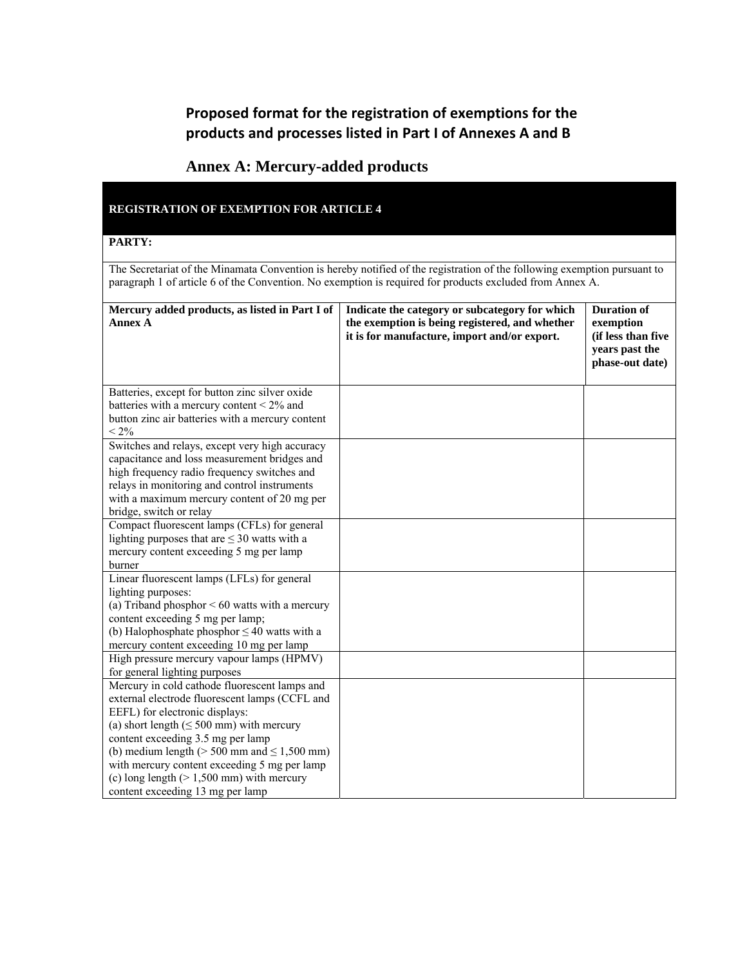## **Proposed format for the registration of exemptions for the products and processes listed in Part I of Annexes A and B**

## **Annex A: Mercury-added products**

### **REGISTRATION OF EXEMPTION FOR ARTICLE 4**

### **PARTY:**

The Secretariat of the Minamata Convention is hereby notified of the registration of the following exemption pursuant to paragraph 1 of article 6 of the Convention. No exemption is required for products excluded from Annex A.

| Mercury added products, as listed in Part I of         | Indicate the category or subcategory for which | <b>Duration of</b> |
|--------------------------------------------------------|------------------------------------------------|--------------------|
| <b>Annex A</b>                                         | the exemption is being registered, and whether | exemption          |
|                                                        | it is for manufacture, import and/or export.   | (if less than five |
|                                                        |                                                | years past the     |
|                                                        |                                                | phase-out date)    |
|                                                        |                                                |                    |
| Batteries, except for button zinc silver oxide         |                                                |                    |
| batteries with a mercury content < 2% and              |                                                |                    |
| button zinc air batteries with a mercury content       |                                                |                    |
| $< 2\%$                                                |                                                |                    |
| Switches and relays, except very high accuracy         |                                                |                    |
| capacitance and loss measurement bridges and           |                                                |                    |
| high frequency radio frequency switches and            |                                                |                    |
| relays in monitoring and control instruments           |                                                |                    |
| with a maximum mercury content of 20 mg per            |                                                |                    |
| bridge, switch or relay                                |                                                |                    |
| Compact fluorescent lamps (CFLs) for general           |                                                |                    |
| lighting purposes that are $\leq$ 30 watts with a      |                                                |                    |
| mercury content exceeding 5 mg per lamp                |                                                |                    |
| burner                                                 |                                                |                    |
| Linear fluorescent lamps (LFLs) for general            |                                                |                    |
| lighting purposes:                                     |                                                |                    |
| (a) Triband phosphor $< 60$ watts with a mercury       |                                                |                    |
| content exceeding 5 mg per lamp;                       |                                                |                    |
| (b) Halophosphate phosphor $\leq 40$ watts with a      |                                                |                    |
| mercury content exceeding 10 mg per lamp               |                                                |                    |
| High pressure mercury vapour lamps (HPMV)              |                                                |                    |
| for general lighting purposes                          |                                                |                    |
| Mercury in cold cathode fluorescent lamps and          |                                                |                    |
| external electrode fluorescent lamps (CCFL and         |                                                |                    |
| EEFL) for electronic displays:                         |                                                |                    |
| (a) short length $( \leq 500 \text{ mm})$ with mercury |                                                |                    |
| content exceeding 3.5 mg per lamp                      |                                                |                    |
| (b) medium length ( $> 500$ mm and $\leq 1,500$ mm)    |                                                |                    |
| with mercury content exceeding 5 mg per lamp           |                                                |                    |
| (c) long length $(> 1,500 \text{ mm})$ with mercury    |                                                |                    |
| content exceeding 13 mg per lamp                       |                                                |                    |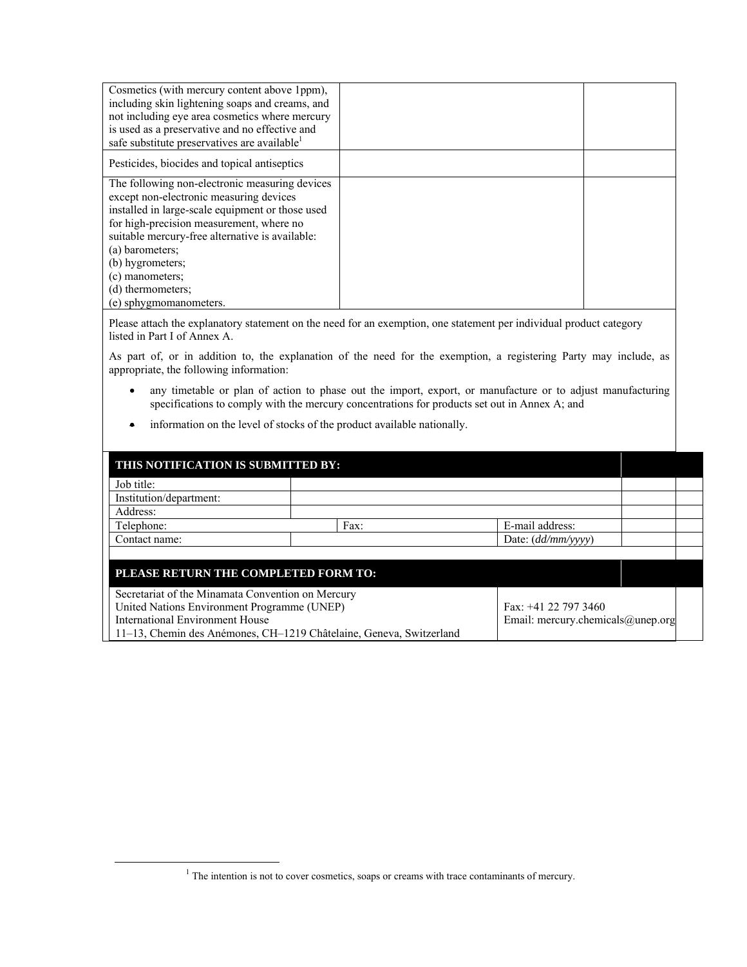| Cosmetics (with mercury content above 1ppm),             |  |
|----------------------------------------------------------|--|
| including skin lightening soaps and creams, and          |  |
| not including eye area cosmetics where mercury           |  |
| is used as a preservative and no effective and           |  |
| safe substitute preservatives are available <sup>1</sup> |  |
| Pesticides, biocides and topical antiseptics             |  |
|                                                          |  |
| The following non-electronic measuring devices           |  |
| except non-electronic measuring devices                  |  |
| installed in large-scale equipment or those used         |  |
| for high-precision measurement, where no                 |  |
| suitable mercury-free alternative is available:          |  |
| (a) barometers;                                          |  |
| (b) hygrometers;                                         |  |
| (c) manometers;                                          |  |
| (d) thermometers;                                        |  |
| (e) sphygmomanometers.                                   |  |

Please attach the explanatory statement on the need for an exemption, one statement per individual product category listed in Part I of Annex A.

As part of, or in addition to, the explanation of the need for the exemption, a registering Party may include, as appropriate, the following information:

- any timetable or plan of action to phase out the import, export, or manufacture or to adjust manufacturing specifications to comply with the mercury concentrations for products set out in Annex A; and
- information on the level of stocks of the product available nationally.

| THIS NOTIFICATION IS SUBMITTED BY:                |                                                                     |                                   |
|---------------------------------------------------|---------------------------------------------------------------------|-----------------------------------|
| Job title:                                        |                                                                     |                                   |
| Institution/department:                           |                                                                     |                                   |
| Address:                                          |                                                                     |                                   |
| Telephone:                                        | Fax:                                                                | E-mail address:                   |
| Contact name:                                     |                                                                     | Date: $(dd/mm/vvvv)$              |
|                                                   |                                                                     |                                   |
| PLEASE RETURN THE COMPLETED FORM TO:              |                                                                     |                                   |
|                                                   |                                                                     |                                   |
| Secretariat of the Minamata Convention on Mercury |                                                                     |                                   |
| United Nations Environment Programme (UNEP)       |                                                                     | Fax: +41 22 797 3460              |
| International Environment House                   |                                                                     | Email: mercury.chemicals@unep.org |
|                                                   | 11–13, Chemin des Anémones, CH–1219 Châtelaine, Geneva, Switzerland |                                   |

<sup>&</sup>lt;u>1</u>  $1$  The intention is not to cover cosmetics, soaps or creams with trace contaminants of mercury.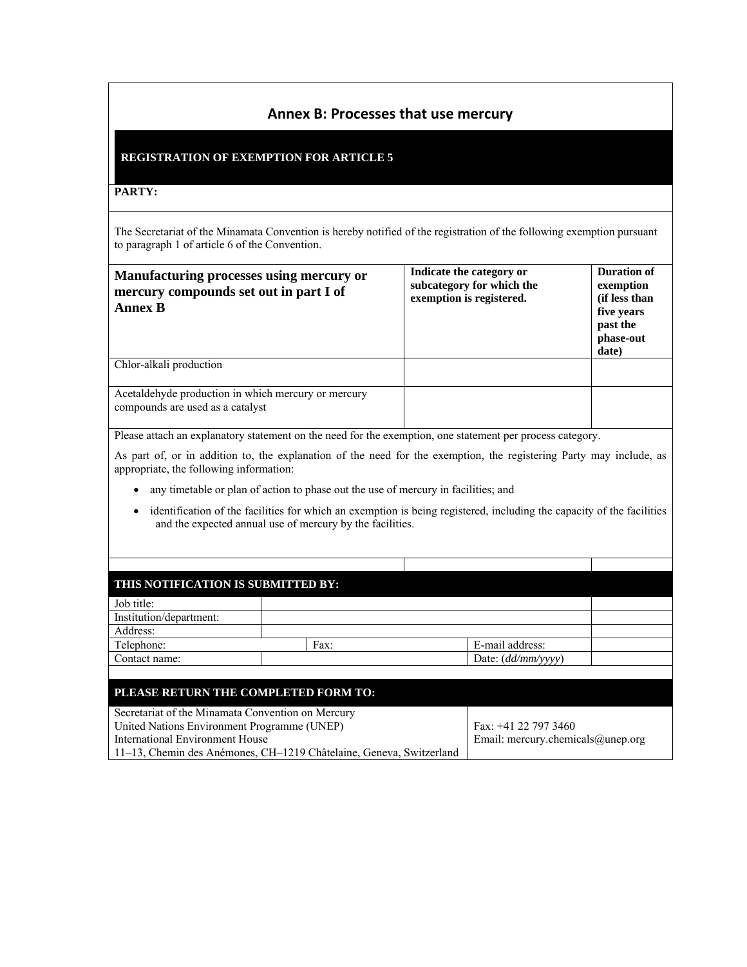## **Annex B: Processes that use mercury**

### **REGISTRATION OF EXEMPTION FOR ARTICLE 5**

#### **PARTY:**

The Secretariat of the Minamata Convention is hereby notified of the registration of the following exemption pursuant to paragraph 1 of article 6 of the Convention.

| Manufacturing processes using mercury or<br>mercury compounds set out in part I of<br><b>Annex B</b> | Indicate the category or<br>subcategory for which the<br>exemption is registered. | Duration of<br>exemption<br>(if less than<br>five years<br>past the<br>phase-out<br>date) |
|------------------------------------------------------------------------------------------------------|-----------------------------------------------------------------------------------|-------------------------------------------------------------------------------------------|
| Chlor-alkali production                                                                              |                                                                                   |                                                                                           |
| Acetaldehyde production in which mercury or mercury<br>compounds are used as a catalyst              |                                                                                   |                                                                                           |

Please attach an explanatory statement on the need for the exemption, one statement per process category.

As part of, or in addition to, the explanation of the need for the exemption, the registering Party may include, as appropriate, the following information:

- any timetable or plan of action to phase out the use of mercury in facilities; and
- identification of the facilities for which an exemption is being registered, including the capacity of the facilities and the expected annual use of mercury by the facilities.

| THIS NOTIFICATION IS SUBMITTED BY:                |                                                                     |                                   |  |
|---------------------------------------------------|---------------------------------------------------------------------|-----------------------------------|--|
| Job title:                                        |                                                                     |                                   |  |
| Institution/department:                           |                                                                     |                                   |  |
| Address:                                          |                                                                     |                                   |  |
| Telephone:                                        | Fax:                                                                | E-mail address:                   |  |
| Contact name:                                     |                                                                     | Date: (dd/mm/yyyy)                |  |
|                                                   |                                                                     |                                   |  |
| PLEASE RETURN THE COMPLETED FORM TO:              |                                                                     |                                   |  |
|                                                   |                                                                     |                                   |  |
| Secretariat of the Minamata Convention on Mercury |                                                                     |                                   |  |
| United Nations Environment Programme (UNEP)       |                                                                     | Fax: +41 22 797 3460              |  |
| International Environment House                   |                                                                     | Email: mercury.chemicals@unep.org |  |
|                                                   | 11–13, Chemin des Anémones, CH–1219 Châtelaine, Geneva, Switzerland |                                   |  |